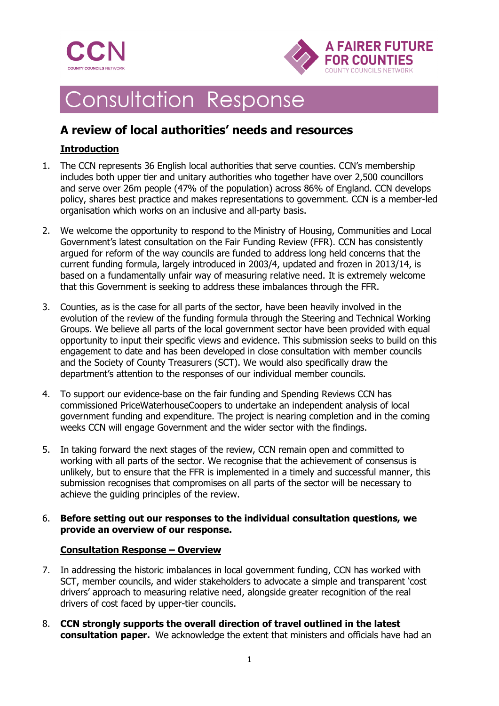



# Consultation Response

## **A review of local authorities' needs and resources**

## **Introduction**

- 1. The CCN represents 36 English local authorities that serve counties. CCN's membership includes both upper tier and unitary authorities who together have over 2,500 councillors and serve over 26m people (47% of the population) across 86% of England. CCN develops policy, shares best practice and makes representations to government. CCN is a member-led organisation which works on an inclusive and all-party basis.
- 2. We welcome the opportunity to respond to the Ministry of Housing, Communities and Local Government's latest consultation on the Fair Funding Review (FFR). CCN has consistently argued for reform of the way councils are funded to address long held concerns that the current funding formula, largely introduced in 2003/4, updated and frozen in 2013/14, is based on a fundamentally unfair way of measuring relative need. It is extremely welcome that this Government is seeking to address these imbalances through the FFR.
- 3. Counties, as is the case for all parts of the sector, have been heavily involved in the evolution of the review of the funding formula through the Steering and Technical Working Groups. We believe all parts of the local government sector have been provided with equal opportunity to input their specific views and evidence. This submission seeks to build on this engagement to date and has been developed in close consultation with member councils and the Society of County Treasurers (SCT). We would also specifically draw the department's attention to the responses of our individual member councils.
- 4. To support our evidence-base on the fair funding and Spending Reviews CCN has commissioned PriceWaterhouseCoopers to undertake an independent analysis of local government funding and expenditure. The project is nearing completion and in the coming weeks CCN will engage Government and the wider sector with the findings.
- 5. In taking forward the next stages of the review, CCN remain open and committed to working with all parts of the sector. We recognise that the achievement of consensus is unlikely, but to ensure that the FFR is implemented in a timely and successful manner, this submission recognises that compromises on all parts of the sector will be necessary to achieve the guiding principles of the review.

#### 6. **Before setting out our responses to the individual consultation questions, we provide an overview of our response.**

## **Consultation Response – Overview**

- 7. In addressing the historic imbalances in local government funding, CCN has worked with SCT, member councils, and wider stakeholders to advocate a simple and transparent 'cost drivers' approach to measuring relative need, alongside greater recognition of the real drivers of cost faced by upper-tier councils.
- 8. **CCN strongly supports the overall direction of travel outlined in the latest consultation paper.** We acknowledge the extent that ministers and officials have had an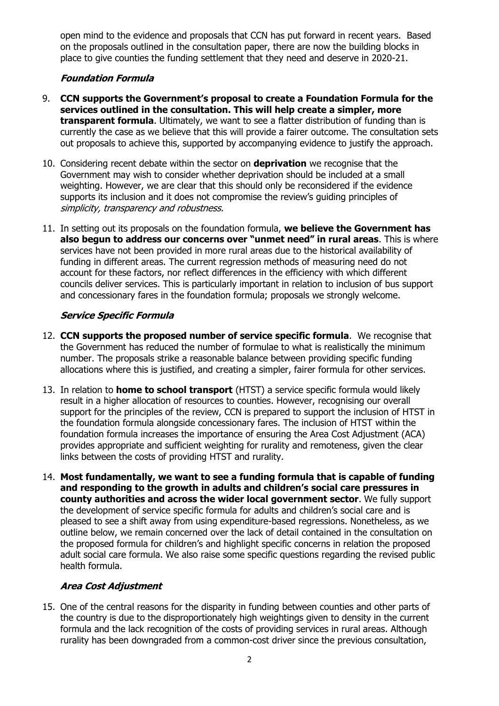open mind to the evidence and proposals that CCN has put forward in recent years. Based on the proposals outlined in the consultation paper, there are now the building blocks in place to give counties the funding settlement that they need and deserve in 2020-21.

#### **Foundation Formula**

- 9. **CCN supports the Government's proposal to create a Foundation Formula for the services outlined in the consultation. This will help create a simpler, more transparent formula**. Ultimately, we want to see a flatter distribution of funding than is currently the case as we believe that this will provide a fairer outcome. The consultation sets out proposals to achieve this, supported by accompanying evidence to justify the approach.
- 10. Considering recent debate within the sector on **deprivation** we recognise that the Government may wish to consider whether deprivation should be included at a small weighting. However, we are clear that this should only be reconsidered if the evidence supports its inclusion and it does not compromise the review's guiding principles of simplicity, transparency and robustness.
- 11. In setting out its proposals on the foundation formula, **we believe the Government has also begun to address our concerns over "unmet need" in rural areas**. This is where services have not been provided in more rural areas due to the historical availability of funding in different areas. The current regression methods of measuring need do not account for these factors, nor reflect differences in the efficiency with which different councils deliver services. This is particularly important in relation to inclusion of bus support and concessionary fares in the foundation formula; proposals we strongly welcome.

## **Service Specific Formula**

- 12. **CCN supports the proposed number of service specific formula**. We recognise that the Government has reduced the number of formulae to what is realistically the minimum number. The proposals strike a reasonable balance between providing specific funding allocations where this is justified, and creating a simpler, fairer formula for other services.
- 13. In relation to **home to school transport** (HTST) a service specific formula would likely result in a higher allocation of resources to counties. However, recognising our overall support for the principles of the review, CCN is prepared to support the inclusion of HTST in the foundation formula alongside concessionary fares. The inclusion of HTST within the foundation formula increases the importance of ensuring the Area Cost Adjustment (ACA) provides appropriate and sufficient weighting for rurality and remoteness, given the clear links between the costs of providing HTST and rurality.
- 14. **Most fundamentally, we want to see a funding formula that is capable of funding and responding to the growth in adults and children's social care pressures in county authorities and across the wider local government sector**. We fully support the development of service specific formula for adults and children's social care and is pleased to see a shift away from using expenditure-based regressions. Nonetheless, as we outline below, we remain concerned over the lack of detail contained in the consultation on the proposed formula for children's and highlight specific concerns in relation the proposed adult social care formula. We also raise some specific questions regarding the revised public health formula.

## **Area Cost Adjustment**

15. One of the central reasons for the disparity in funding between counties and other parts of the country is due to the disproportionately high weightings given to density in the current formula and the lack recognition of the costs of providing services in rural areas. Although rurality has been downgraded from a common-cost driver since the previous consultation,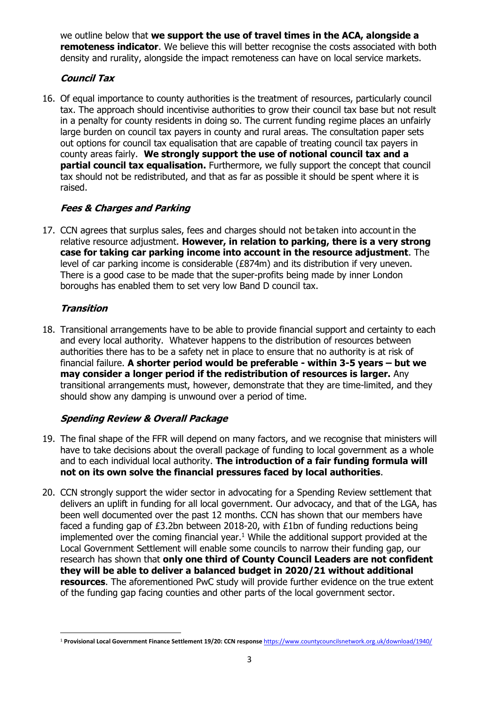we outline below that **we support the use of travel times in the ACA, alongside a remoteness indicator.** We believe this will better recognise the costs associated with both density and rurality, alongside the impact remoteness can have on local service markets.

## **Council Tax**

16. Of equal importance to county authorities is the treatment of resources, particularly council tax. The approach should incentivise authorities to grow their council tax base but not result in a penalty for county residents in doing so. The current funding regime places an unfairly large burden on council tax payers in county and rural areas. The consultation paper sets out options for council tax equalisation that are capable of treating council tax payers in county areas fairly. **We strongly support the use of notional council tax and a partial council tax equalisation.** Furthermore, we fully support the concept that council tax should not be redistributed, and that as far as possible it should be spent where it is raised.

## **Fees & Charges and Parking**

17. CCN agrees that surplus sales, fees and charges should not be taken into account in the relative resource adjustment.  **However, in relation to parking, there is a very strong case for taking car parking income into account in the resource adjustment**. The level of car parking income is considerable (£874m) and its distribution if very uneven.  There is a good case to be made that the super-profits being made by inner London boroughs has enabled them to set very low Band D council tax. 

## **Transition**

18. Transitional arrangements have to be able to provide financial support and certainty to each and every local authority. Whatever happens to the distribution of resources between authorities there has to be a safety net in place to ensure that no authority is at risk of financial failure. **A shorter period would be preferable - within 3-5 years – but we may consider a longer period if the redistribution of resources is larger.** Any transitional arrangements must, however, demonstrate that they are time-limited, and they should show any damping is unwound over a period of time.

## **Spending Review & Overall Package**

- 19. The final shape of the FFR will depend on many factors, and we recognise that ministers will have to take decisions about the overall package of funding to local government as a whole and to each individual local authority. **The introduction of a fair funding formula will not on its own solve the financial pressures faced by local authorities**.
- 20. CCN strongly support the wider sector in advocating for a Spending Review settlement that delivers an uplift in funding for all local government. Our advocacy, and that of the LGA, has been well documented over the past 12 months. CCN has shown that our members have faced a funding gap of £3.2bn between 2018-20, with £1bn of funding reductions being implemented over the coming financial year. $1$  While the additional support provided at the Local Government Settlement will enable some councils to narrow their funding gap, our research has shown that **only one third of County Council Leaders are not confident they will be able to deliver a balanced budget in 2020/21 without additional resources**. The aforementioned PwC study will provide further evidence on the true extent of the funding gap facing counties and other parts of the local government sector.

 $\overline{a}$ <sup>1</sup> **Provisional Local Government Finance Settlement 19/20: CCN response** <https://www.countycouncilsnetwork.org.uk/download/1940/>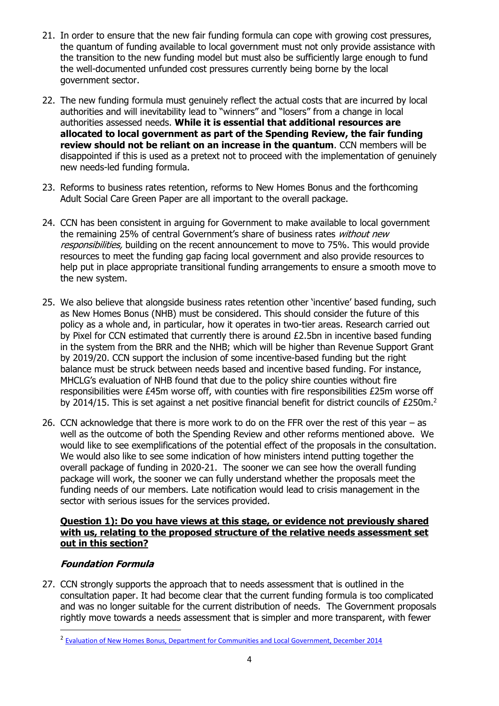- 21. In order to ensure that the new fair funding formula can cope with growing cost pressures, the quantum of funding available to local government must not only provide assistance with the transition to the new funding model but must also be sufficiently large enough to fund the well-documented unfunded cost pressures currently being borne by the local government sector.
- 22. The new funding formula must genuinely reflect the actual costs that are incurred by local authorities and will inevitability lead to "winners" and "losers" from a change in local authorities assessed needs. **While it is essential that additional resources are allocated to local government as part of the Spending Review, the fair funding review should not be reliant on an increase in the quantum**. CCN members will be disappointed if this is used as a pretext not to proceed with the implementation of genuinely new needs-led funding formula.
- 23. Reforms to business rates retention, reforms to New Homes Bonus and the forthcoming Adult Social Care Green Paper are all important to the overall package.
- 24. CCN has been consistent in arguing for Government to make available to local government the remaining 25% of central Government's share of business rates without new responsibilities, building on the recent announcement to move to 75%. This would provide resources to meet the funding gap facing local government and also provide resources to help put in place appropriate transitional funding arrangements to ensure a smooth move to the new system.
- 25. We also believe that alongside business rates retention other 'incentive' based funding, such as New Homes Bonus (NHB) must be considered. This should consider the future of this policy as a whole and, in particular, how it operates in two-tier areas. Research carried out by Pixel for CCN estimated that currently there is around £2.5bn in incentive based funding in the system from the BRR and the NHB; which will be higher than Revenue Support Grant by 2019/20. CCN support the inclusion of some incentive-based funding but the right balance must be struck between needs based and incentive based funding. For instance, MHCLG's evaluation of NHB found that due to the policy shire counties without fire responsibilities were £45m worse off, with counties with fire responsibilities £25m worse off by 2014/15. This is set against a net positive financial benefit for district councils of £250m.<sup>2</sup>
- 26. CCN acknowledge that there is more work to do on the FFR over the rest of this year as well as the outcome of both the Spending Review and other reforms mentioned above. We would like to see exemplifications of the potential effect of the proposals in the consultation. We would also like to see some indication of how ministers intend putting together the overall package of funding in 2020-21. The sooner we can see how the overall funding package will work, the sooner we can fully understand whether the proposals meet the funding needs of our members. Late notification would lead to crisis management in the sector with serious issues for the services provided.

#### **Question 1): Do you have views at this stage, or evidence not previously shared with us, relating to the proposed structure of the relative needs assessment set out in this section?**

## **Foundation Formula**

**.** 

27. CCN strongly supports the approach that to needs assessment that is outlined in the consultation paper. It had become clear that the current funding formula is too complicated and was no longer suitable for the current distribution of needs. The Government proposals rightly move towards a needs assessment that is simpler and more transparent, with fewer

<sup>&</sup>lt;sup>2</sup> [Evaluation of New Homes Bonus, Department for Communities and Local Government, December 2014](https://www.gov.uk/government/uploads/system/uploads/attachment_data/file/387152/NHB_Evaluation_FINAL_report.pdf)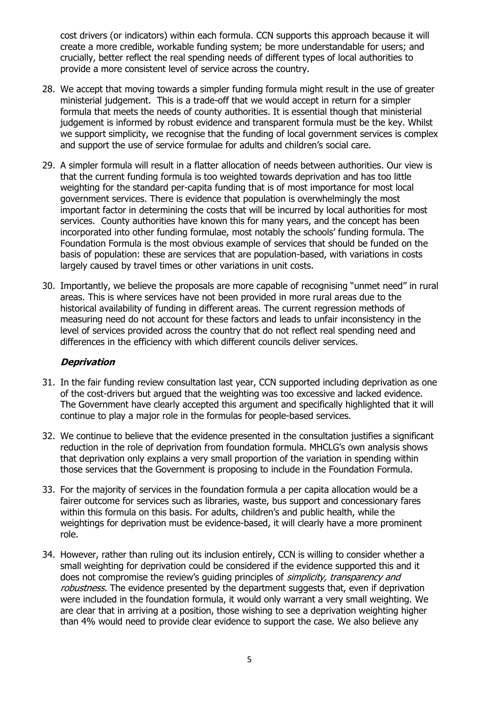cost drivers (or indicators) within each formula. CCN supports this approach because it will create a more credible, workable funding system; be more understandable for users; and crucially, better reflect the real spending needs of different types of local authorities to provide a more consistent level of service across the country.

- 28. We accept that moving towards a simpler funding formula might result in the use of greater ministerial judgement. This is a trade-off that we would accept in return for a simpler formula that meets the needs of county authorities. It is essential though that ministerial judgement is informed by robust evidence and transparent formula must be the key. Whilst we support simplicity, we recognise that the funding of local government services is complex and support the use of service formulae for adults and children's social care.
- 29. A simpler formula will result in a flatter allocation of needs between authorities. Our view is that the current funding formula is too weighted towards deprivation and has too little weighting for the standard per-capita funding that is of most importance for most local government services. There is evidence that population is overwhelmingly the most important factor in determining the costs that will be incurred by local authorities for most services. County authorities have known this for many years, and the concept has been incorporated into other funding formulae, most notably the schools' funding formula. The Foundation Formula is the most obvious example of services that should be funded on the basis of population: these are services that are population-based, with variations in costs largely caused by travel times or other variations in unit costs.
- 30. Importantly, we believe the proposals are more capable of recognising "unmet need" in rural areas. This is where services have not been provided in more rural areas due to the historical availability of funding in different areas. The current regression methods of measuring need do not account for these factors and leads to unfair inconsistency in the level of services provided across the country that do not reflect real spending need and differences in the efficiency with which different councils deliver services.

#### **Deprivation**

- 31. In the fair funding review consultation last year, CCN supported including deprivation as one of the cost-drivers but argued that the weighting was too excessive and lacked evidence. The Government have clearly accepted this argument and specifically highlighted that it will continue to play a major role in the formulas for people-based services.
- 32. We continue to believe that the evidence presented in the consultation justifies a significant reduction in the role of deprivation from foundation formula. MHCLG's own analysis shows that deprivation only explains a very small proportion of the variation in spending within those services that the Government is proposing to include in the Foundation Formula.
- 33. For the majority of services in the foundation formula a per capita allocation would be a fairer outcome for services such as libraries, waste, bus support and concessionary fares within this formula on this basis. For adults, children's and public health, while the weightings for deprivation must be evidence-based, it will clearly have a more prominent role.
- 34. However, rather than ruling out its inclusion entirely, CCN is willing to consider whether a small weighting for deprivation could be considered if the evidence supported this and it does not compromise the review's guiding principles of *simplicity, transparency and* robustness. The evidence presented by the department suggests that, even if deprivation were included in the foundation formula, it would only warrant a very small weighting. We are clear that in arriving at a position, those wishing to see a deprivation weighting higher than 4% would need to provide clear evidence to support the case. We also believe any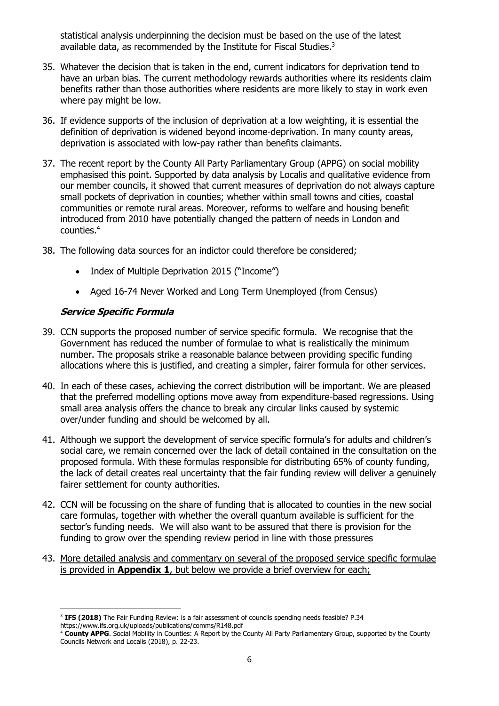statistical analysis underpinning the decision must be based on the use of the latest available data, as recommended by the Institute for Fiscal Studies.<sup>3</sup>

- 35. Whatever the decision that is taken in the end, current indicators for deprivation tend to have an urban bias. The current methodology rewards authorities where its residents claim benefits rather than those authorities where residents are more likely to stay in work even where pay might be low.
- 36. If evidence supports of the inclusion of deprivation at a low weighting, it is essential the definition of deprivation is widened beyond income-deprivation. In many county areas, deprivation is associated with low-pay rather than benefits claimants.
- 37. The recent report by the County All Party Parliamentary Group (APPG) on social mobility emphasised this point. Supported by data analysis by Localis and qualitative evidence from our member councils, it showed that current measures of deprivation do not always capture small pockets of deprivation in counties; whether within small towns and cities, coastal communities or remote rural areas. Moreover, reforms to welfare and housing benefit introduced from 2010 have potentially changed the pattern of needs in London and counties. 4
- 38. The following data sources for an indictor could therefore be considered;
	- Index of Multiple Deprivation 2015 ("Income")
	- Aged 16-74 Never Worked and Long Term Unemployed (from Census)

#### **Service Specific Formula**

- 39. CCN supports the proposed number of service specific formula. We recognise that the Government has reduced the number of formulae to what is realistically the minimum number. The proposals strike a reasonable balance between providing specific funding allocations where this is justified, and creating a simpler, fairer formula for other services.
- 40. In each of these cases, achieving the correct distribution will be important. We are pleased that the preferred modelling options move away from expenditure-based regressions. Using small area analysis offers the chance to break any circular links caused by systemic over/under funding and should be welcomed by all.
- 41. Although we support the development of service specific formula's for adults and children's social care, we remain concerned over the lack of detail contained in the consultation on the proposed formula. With these formulas responsible for distributing 65% of county funding, the lack of detail creates real uncertainty that the fair funding review will deliver a genuinely fairer settlement for county authorities.
- 42. CCN will be focussing on the share of funding that is allocated to counties in the new social care formulas, together with whether the overall quantum available is sufficient for the sector's funding needs. We will also want to be assured that there is provision for the funding to grow over the spending review period in line with those pressures
- 43. More detailed analysis and commentary on several of the proposed service specific formulae is provided in **Appendix 1**, but below we provide a brief overview for each;

**<sup>.</sup>** 3 **IFS (2018)** The Fair Funding Review: is a fair assessment of councils spending needs feasible? P.34 https://www.ifs.org.uk/uploads/publications/comms/R148.pdf

<sup>4</sup> **County APPG**. Social Mobility in Counties: A Report by the County All Party Parliamentary Group, supported by the County Councils Network and Localis (2018), p. 22-23.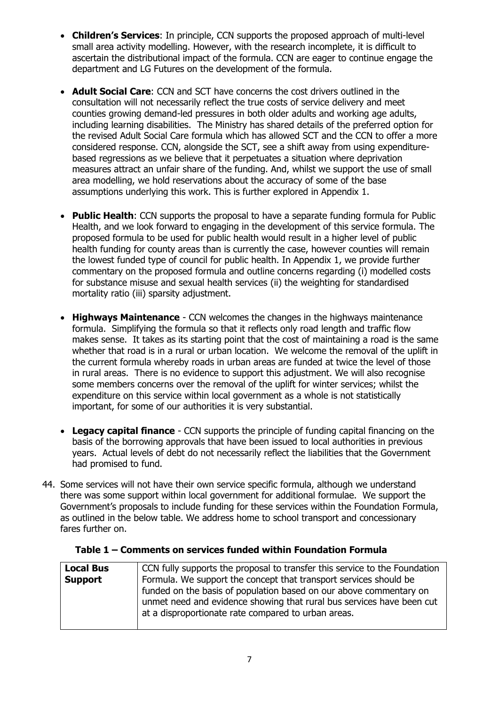- **Children's Services**: In principle, CCN supports the proposed approach of multi-level small area activity modelling. However, with the research incomplete, it is difficult to ascertain the distributional impact of the formula. CCN are eager to continue engage the department and LG Futures on the development of the formula.
- **Adult Social Care**: CCN and SCT have concerns the cost drivers outlined in the consultation will not necessarily reflect the true costs of service delivery and meet counties growing demand-led pressures in both older adults and working age adults, including learning disabilities. The Ministry has shared details of the preferred option for the revised Adult Social Care formula which has allowed SCT and the CCN to offer a more considered response. CCN, alongside the SCT, see a shift away from using expenditurebased regressions as we believe that it perpetuates a situation where deprivation measures attract an unfair share of the funding. And, whilst we support the use of small area modelling, we hold reservations about the accuracy of some of the base assumptions underlying this work. This is further explored in Appendix 1.
- **Public Health**: CCN supports the proposal to have a separate funding formula for Public Health, and we look forward to engaging in the development of this service formula. The proposed formula to be used for public health would result in a higher level of public health funding for county areas than is currently the case, however counties will remain the lowest funded type of council for public health. In Appendix 1, we provide further commentary on the proposed formula and outline concerns regarding (i) modelled costs for substance misuse and sexual health services (ii) the weighting for standardised mortality ratio (iii) sparsity adjustment.
- **Highways Maintenance** CCN welcomes the changes in the highways maintenance formula. Simplifying the formula so that it reflects only road length and traffic flow makes sense. It takes as its starting point that the cost of maintaining a road is the same whether that road is in a rural or urban location. We welcome the removal of the uplift in the current formula whereby roads in urban areas are funded at twice the level of those in rural areas. There is no evidence to support this adjustment. We will also recognise some members concerns over the removal of the uplift for winter services; whilst the expenditure on this service within local government as a whole is not statistically important, for some of our authorities it is very substantial.
- **Legacy capital finance** CCN supports the principle of funding capital financing on the basis of the borrowing approvals that have been issued to local authorities in previous years. Actual levels of debt do not necessarily reflect the liabilities that the Government had promised to fund.
- 44. Some services will not have their own service specific formula, although we understand there was some support within local government for additional formulae. We support the Government's proposals to include funding for these services within the Foundation Formula, as outlined in the below table. We address home to school transport and concessionary fares further on.

| <b>Local Bus</b> | CCN fully supports the proposal to transfer this service to the Foundation |
|------------------|----------------------------------------------------------------------------|
| Support          | Formula. We support the concept that transport services should be          |
|                  | funded on the basis of population based on our above commentary on         |
|                  | unmet need and evidence showing that rural bus services have been cut      |
|                  | at a disproportionate rate compared to urban areas.                        |
|                  |                                                                            |

#### **Table 1 – Comments on services funded within Foundation Formula**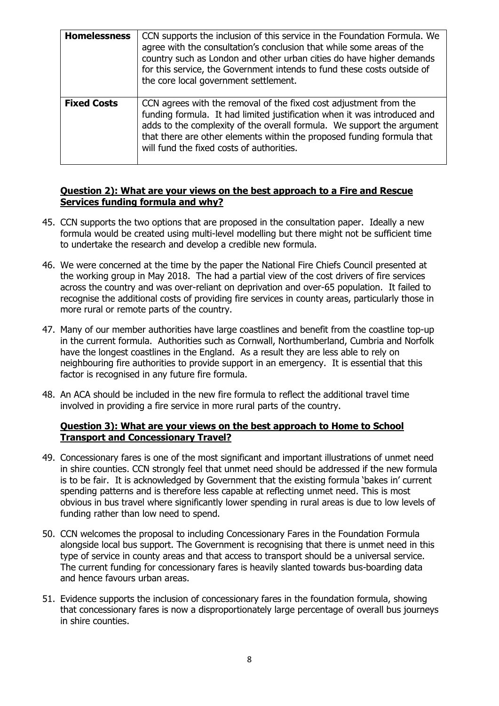| <b>Homelessness</b> | CCN supports the inclusion of this service in the Foundation Formula. We<br>agree with the consultation's conclusion that while some areas of the<br>country such as London and other urban cities do have higher demands<br>for this service, the Government intends to fund these costs outside of<br>the core local government settlement.  |
|---------------------|------------------------------------------------------------------------------------------------------------------------------------------------------------------------------------------------------------------------------------------------------------------------------------------------------------------------------------------------|
| <b>Fixed Costs</b>  | CCN agrees with the removal of the fixed cost adjustment from the<br>funding formula. It had limited justification when it was introduced and<br>adds to the complexity of the overall formula. We support the argument<br>that there are other elements within the proposed funding formula that<br>will fund the fixed costs of authorities. |

#### **Question 2): What are your views on the best approach to a Fire and Rescue Services funding formula and why?**

- 45. CCN supports the two options that are proposed in the consultation paper. Ideally a new formula would be created using multi-level modelling but there might not be sufficient time to undertake the research and develop a credible new formula.
- 46. We were concerned at the time by the paper the National Fire Chiefs Council presented at the working group in May 2018. The had a partial view of the cost drivers of fire services across the country and was over-reliant on deprivation and over-65 population. It failed to recognise the additional costs of providing fire services in county areas, particularly those in more rural or remote parts of the country.
- 47. Many of our member authorities have large coastlines and benefit from the coastline top-up in the current formula. Authorities such as Cornwall, Northumberland, Cumbria and Norfolk have the longest coastlines in the England. As a result they are less able to rely on neighbouring fire authorities to provide support in an emergency. It is essential that this factor is recognised in any future fire formula.
- 48. An ACA should be included in the new fire formula to reflect the additional travel time involved in providing a fire service in more rural parts of the country.

#### **Question 3): What are your views on the best approach to Home to School Transport and Concessionary Travel?**

- 49. Concessionary fares is one of the most significant and important illustrations of unmet need in shire counties. CCN strongly feel that unmet need should be addressed if the new formula is to be fair. It is acknowledged by Government that the existing formula 'bakes in' current spending patterns and is therefore less capable at reflecting unmet need. This is most obvious in bus travel where significantly lower spending in rural areas is due to low levels of funding rather than low need to spend.
- 50. CCN welcomes the proposal to including Concessionary Fares in the Foundation Formula alongside local bus support. The Government is recognising that there is unmet need in this type of service in county areas and that access to transport should be a universal service. The current funding for concessionary fares is heavily slanted towards bus-boarding data and hence favours urban areas.
- 51. Evidence supports the inclusion of concessionary fares in the foundation formula, showing that concessionary fares is now a disproportionately large percentage of overall bus journeys in shire counties.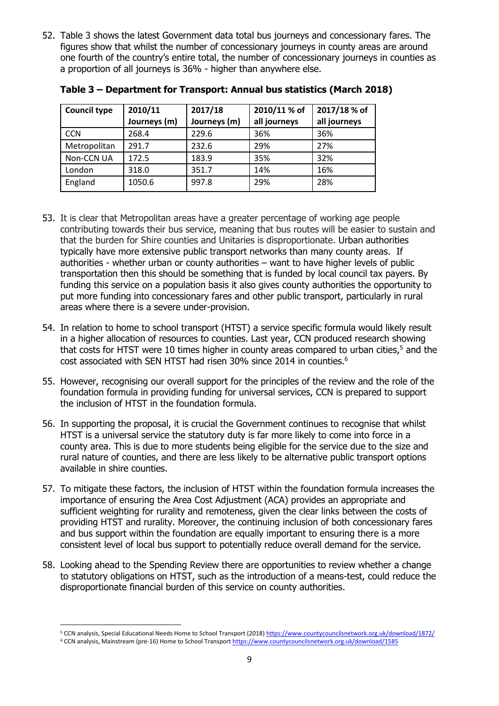52. Table 3 shows the latest Government data total bus journeys and concessionary fares. The figures show that whilst the number of concessionary journeys in county areas are around one fourth of the country's entire total, the number of concessionary journeys in counties as a proportion of all journeys is 36% - higher than anywhere else.

| <b>Council type</b> | 2010/11      | 2017/18      | 2010/11 % of | 2017/18 % of |
|---------------------|--------------|--------------|--------------|--------------|
|                     | Journeys (m) | Journeys (m) | all journeys | all journeys |
| <b>CCN</b>          | 268.4        | 229.6        | 36%          | 36%          |
| Metropolitan        | 291.7        | 232.6        | 29%          | 27%          |
| Non-CCN UA          | 172.5        | 183.9        | 35%          | 32%          |
| London              | 318.0        | 351.7        | 14%          | 16%          |
| England             | 1050.6       | 997.8        | 29%          | 28%          |

**Table 3 – Department for Transport: Annual bus statistics (March 2018)**

- 53. It is clear that Metropolitan areas have a greater percentage of working age people contributing towards their bus service, meaning that bus routes will be easier to sustain and that the burden for Shire counties and Unitaries is disproportionate. Urban authorities typically have more extensive public transport networks than many county areas. If authorities - whether urban or county authorities – want to have higher levels of public transportation then this should be something that is funded by local council tax payers. By funding this service on a population basis it also gives county authorities the opportunity to put more funding into concessionary fares and other public transport, particularly in rural areas where there is a severe under-provision.
- 54. In relation to home to school transport (HTST) a service specific formula would likely result in a higher allocation of resources to counties. Last year, CCN produced research showing that costs for HTST were 10 times higher in county areas compared to urban cities,<sup>5</sup> and the cost associated with SEN HTST had risen 30% since 2014 in counties. 6
- 55. However, recognising our overall support for the principles of the review and the role of the foundation formula in providing funding for universal services, CCN is prepared to support the inclusion of HTST in the foundation formula.
- 56. In supporting the proposal, it is crucial the Government continues to recognise that whilst HTST is a universal service the statutory duty is far more likely to come into force in a county area. This is due to more students being eligible for the service due to the size and rural nature of counties, and there are less likely to be alternative public transport options available in shire counties.
- 57. To mitigate these factors, the inclusion of HTST within the foundation formula increases the importance of ensuring the Area Cost Adjustment (ACA) provides an appropriate and sufficient weighting for rurality and remoteness, given the clear links between the costs of providing HTST and rurality. Moreover, the continuing inclusion of both concessionary fares and bus support within the foundation are equally important to ensuring there is a more consistent level of local bus support to potentially reduce overall demand for the service.
- 58. Looking ahead to the Spending Review there are opportunities to review whether a change to statutory obligations on HTST, such as the introduction of a means-test, could reduce the disproportionate financial burden of this service on county authorities.

 $\overline{a}$ 

<sup>5</sup> CCN analysis, Special Educational Needs Home to School Transport (2018[\) https://www.countycouncilsnetwork.org.uk/download/1872/](https://www.countycouncilsnetwork.org.uk/download/1872/)

<sup>6</sup> CCN analysis, Mainstream (pre-16) Home to School Transpor[t https://www.countycouncilsnetwork.org.uk/download/1585](https://www.countycouncilsnetwork.org.uk/download/1585)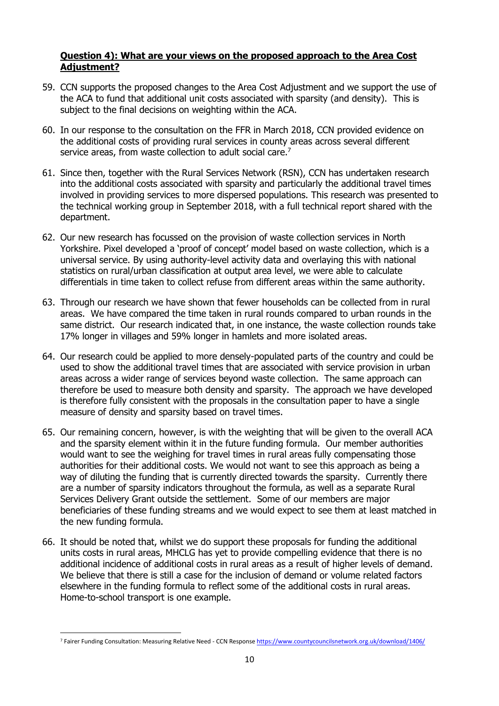#### **Question 4): What are your views on the proposed approach to the Area Cost Adjustment?**

- 59. CCN supports the proposed changes to the Area Cost Adjustment and we support the use of the ACA to fund that additional unit costs associated with sparsity (and density). This is subject to the final decisions on weighting within the ACA.
- 60. In our response to the consultation on the FFR in March 2018, CCN provided evidence on the additional costs of providing rural services in county areas across several different service areas, from waste collection to adult social care.<sup>7</sup>
- 61. Since then, together with the Rural Services Network (RSN), CCN has undertaken research into the additional costs associated with sparsity and particularly the additional travel times involved in providing services to more dispersed populations. This research was presented to the technical working group in September 2018, with a full technical report shared with the department.
- 62. Our new research has focussed on the provision of waste collection services in North Yorkshire. Pixel developed a 'proof of concept' model based on waste collection, which is a universal service. By using authority-level activity data and overlaying this with national statistics on rural/urban classification at output area level, we were able to calculate differentials in time taken to collect refuse from different areas within the same authority.
- 63. Through our research we have shown that fewer households can be collected from in rural areas. We have compared the time taken in rural rounds compared to urban rounds in the same district. Our research indicated that, in one instance, the waste collection rounds take 17% longer in villages and 59% longer in hamlets and more isolated areas.
- 64. Our research could be applied to more densely-populated parts of the country and could be used to show the additional travel times that are associated with service provision in urban areas across a wider range of services beyond waste collection. The same approach can therefore be used to measure both density and sparsity. The approach we have developed is therefore fully consistent with the proposals in the consultation paper to have a single measure of density and sparsity based on travel times.
- 65. Our remaining concern, however, is with the weighting that will be given to the overall ACA and the sparsity element within it in the future funding formula. Our member authorities would want to see the weighing for travel times in rural areas fully compensating those authorities for their additional costs. We would not want to see this approach as being a way of diluting the funding that is currently directed towards the sparsity. Currently there are a number of sparsity indicators throughout the formula, as well as a separate Rural Services Delivery Grant outside the settlement. Some of our members are major beneficiaries of these funding streams and we would expect to see them at least matched in the new funding formula.
- 66. It should be noted that, whilst we do support these proposals for funding the additional units costs in rural areas, MHCLG has yet to provide compelling evidence that there is no additional incidence of additional costs in rural areas as a result of higher levels of demand. We believe that there is still a case for the inclusion of demand or volume related factors elsewhere in the funding formula to reflect some of the additional costs in rural areas. Home-to-school transport is one example.

 $\overline{a}$ 

<sup>&</sup>lt;sup>7</sup> Fairer Funding Consultation: Measuring Relative Need - CCN Respons[e https://www.countycouncilsnetwork.org.uk/download/1406/](https://www.countycouncilsnetwork.org.uk/download/1406/)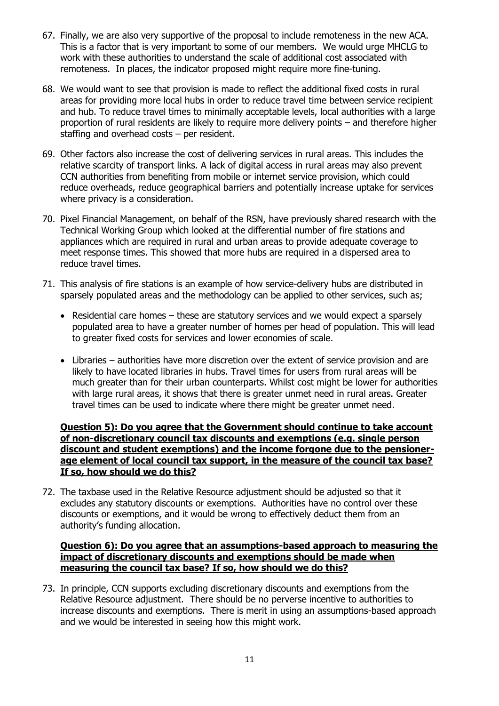- 67. Finally, we are also very supportive of the proposal to include remoteness in the new ACA. This is a factor that is very important to some of our members. We would urge MHCLG to work with these authorities to understand the scale of additional cost associated with remoteness. In places, the indicator proposed might require more fine-tuning.
- 68. We would want to see that provision is made to reflect the additional fixed costs in rural areas for providing more local hubs in order to reduce travel time between service recipient and hub. To reduce travel times to minimally acceptable levels, local authorities with a large proportion of rural residents are likely to require more delivery points – and therefore higher staffing and overhead costs – per resident.
- 69. Other factors also increase the cost of delivering services in rural areas. This includes the relative scarcity of transport links. A lack of digital access in rural areas may also prevent CCN authorities from benefiting from mobile or internet service provision, which could reduce overheads, reduce geographical barriers and potentially increase uptake for services where privacy is a consideration.
- 70. Pixel Financial Management, on behalf of the RSN, have previously shared research with the Technical Working Group which looked at the differential number of fire stations and appliances which are required in rural and urban areas to provide adequate coverage to meet response times. This showed that more hubs are required in a dispersed area to reduce travel times.
- 71. This analysis of fire stations is an example of how service-delivery hubs are distributed in sparsely populated areas and the methodology can be applied to other services, such as;
	- Residential care homes these are statutory services and we would expect a sparsely populated area to have a greater number of homes per head of population. This will lead to greater fixed costs for services and lower economies of scale.
	- Libraries authorities have more discretion over the extent of service provision and are likely to have located libraries in hubs. Travel times for users from rural areas will be much greater than for their urban counterparts. Whilst cost might be lower for authorities with large rural areas, it shows that there is greater unmet need in rural areas. Greater travel times can be used to indicate where there might be greater unmet need.

#### **Question 5): Do you agree that the Government should continue to take account of non-discretionary council tax discounts and exemptions (e.g. single person discount and student exemptions) and the income forgone due to the pensionerage element of local council tax support, in the measure of the council tax base? If so, how should we do this?**

72. The taxbase used in the Relative Resource adjustment should be adjusted so that it excludes any statutory discounts or exemptions. Authorities have no control over these discounts or exemptions, and it would be wrong to effectively deduct them from an authority's funding allocation.

#### **Question 6): Do you agree that an assumptions-based approach to measuring the impact of discretionary discounts and exemptions should be made when measuring the council tax base? If so, how should we do this?**

73. In principle, CCN supports excluding discretionary discounts and exemptions from the Relative Resource adjustment. There should be no perverse incentive to authorities to increase discounts and exemptions. There is merit in using an assumptions-based approach and we would be interested in seeing how this might work.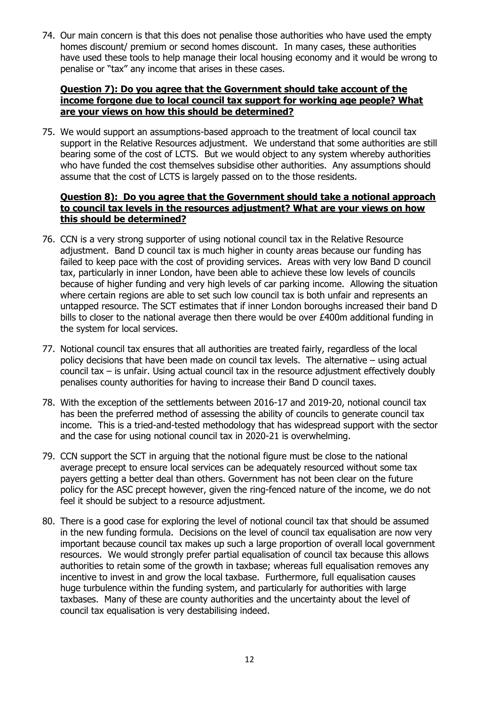74. Our main concern is that this does not penalise those authorities who have used the empty homes discount/ premium or second homes discount. In many cases, these authorities have used these tools to help manage their local housing economy and it would be wrong to penalise or "tax" any income that arises in these cases.

#### **Question 7): Do you agree that the Government should take account of the income forgone due to local council tax support for working age people? What are your views on how this should be determined?**

75. We would support an assumptions-based approach to the treatment of local council tax support in the Relative Resources adjustment. We understand that some authorities are still bearing some of the cost of LCTS. But we would object to any system whereby authorities who have funded the cost themselves subsidise other authorities. Any assumptions should assume that the cost of LCTS is largely passed on to the those residents.

#### **Question 8): Do you agree that the Government should take a notional approach to council tax levels in the resources adjustment? What are your views on how this should be determined?**

- 76. CCN is a very strong supporter of using notional council tax in the Relative Resource adjustment. Band D council tax is much higher in county areas because our funding has failed to keep pace with the cost of providing services. Areas with very low Band D council tax, particularly in inner London, have been able to achieve these low levels of councils because of higher funding and very high levels of car parking income. Allowing the situation where certain regions are able to set such low council tax is both unfair and represents an untapped resource. The SCT estimates that if inner London boroughs increased their band D bills to closer to the national average then there would be over £400m additional funding in the system for local services.
- 77. Notional council tax ensures that all authorities are treated fairly, regardless of the local policy decisions that have been made on council tax levels. The alternative – using actual council tax – is unfair. Using actual council tax in the resource adjustment effectively doubly penalises county authorities for having to increase their Band D council taxes.
- 78. With the exception of the settlements between 2016-17 and 2019-20, notional council tax has been the preferred method of assessing the ability of councils to generate council tax income. This is a tried-and-tested methodology that has widespread support with the sector and the case for using notional council tax in 2020-21 is overwhelming.
- 79. CCN support the SCT in arguing that the notional figure must be close to the national average precept to ensure local services can be adequately resourced without some tax payers getting a better deal than others. Government has not been clear on the future policy for the ASC precept however, given the ring-fenced nature of the income, we do not feel it should be subject to a resource adjustment.
- 80. There is a good case for exploring the level of notional council tax that should be assumed in the new funding formula. Decisions on the level of council tax equalisation are now very important because council tax makes up such a large proportion of overall local government resources. We would strongly prefer partial equalisation of council tax because this allows authorities to retain some of the growth in taxbase; whereas full equalisation removes any incentive to invest in and grow the local taxbase. Furthermore, full equalisation causes huge turbulence within the funding system, and particularly for authorities with large taxbases. Many of these are county authorities and the uncertainty about the level of council tax equalisation is very destabilising indeed.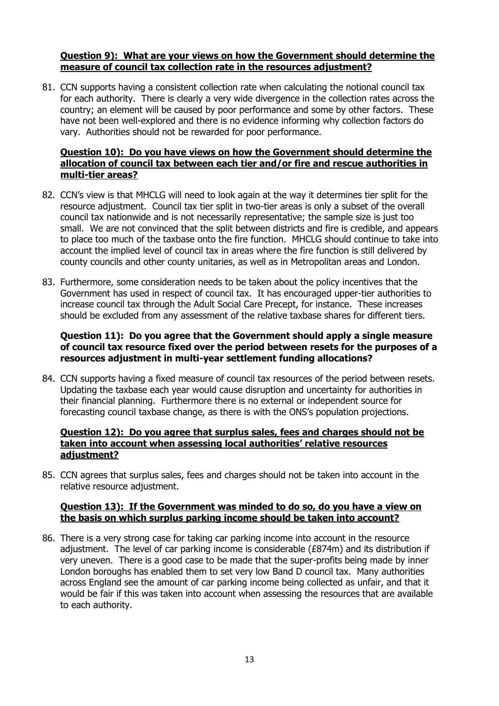#### **Question 9): What are your views on how the Government should determine the measure of council tax collection rate in the resources adjustment?**

81. CCN supports having a consistent collection rate when calculating the notional council tax for each authority. There is clearly a very wide divergence in the collection rates across the country; an element will be caused by poor performance and some by other factors. These have not been well-explored and there is no evidence informing why collection factors do vary. Authorities should not be rewarded for poor performance.

#### **Question 10): Do you have views on how the Government should determine the allocation of council tax between each tier and/or fire and rescue authorities in multi-tier areas?**

- 82. CCN's view is that MHCLG will need to look again at the way it determines tier split for the resource adjustment. Council tax tier split in two-tier areas is only a subset of the overall council tax nationwide and is not necessarily representative; the sample size is just too small. We are not convinced that the split between districts and fire is credible, and appears to place too much of the taxbase onto the fire function. MHCLG should continue to take into account the implied level of council tax in areas where the fire function is still delivered by county councils and other county unitaries, as well as in Metropolitan areas and London.
- 83. Furthermore, some consideration needs to be taken about the policy incentives that the Government has used in respect of council tax. It has encouraged upper-tier authorities to increase council tax through the Adult Social Care Precept, for instance. These increases should be excluded from any assessment of the relative taxbase shares for different tiers.

#### **Question 11): Do you agree that the Government should apply a single measure of council tax resource fixed over the period between resets for the purposes of a resources adjustment in multi-year settlement funding allocations?**

84. CCN supports having a fixed measure of council tax resources of the period between resets. Updating the taxbase each year would cause disruption and uncertainty for authorities in their financial planning. Furthermore there is no external or independent source for forecasting council taxbase change, as there is with the ONS's population projections.

#### **Question 12): Do you agree that surplus sales, fees and charges should not be taken into account when assessing local authorities' relative resources adjustment?**

85. CCN agrees that surplus sales, fees and charges should not be taken into account in the relative resource adjustment.

#### **Question 13): If the Government was minded to do so, do you have a view on the basis on which surplus parking income should be taken into account?**

86. There is a very strong case for taking car parking income into account in the resource adjustment. The level of car parking income is considerable (£874m) and its distribution if very uneven. There is a good case to be made that the super-profits being made by inner London boroughs has enabled them to set very low Band D council tax. Many authorities across England see the amount of car parking income being collected as unfair, and that it would be fair if this was taken into account when assessing the resources that are available to each authority.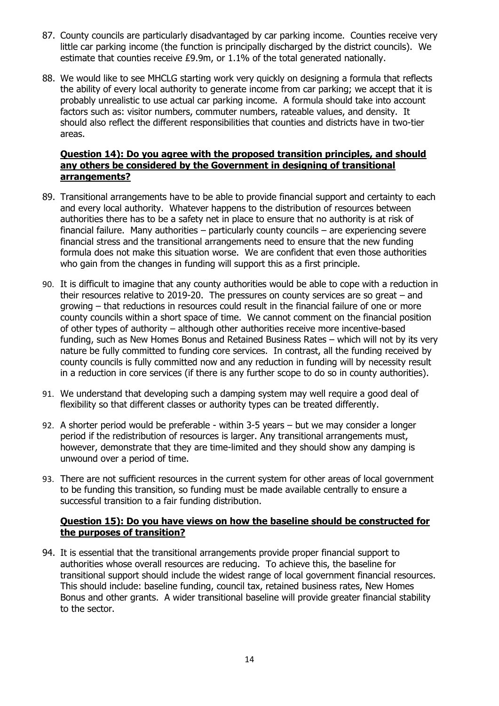- 87. County councils are particularly disadvantaged by car parking income. Counties receive very little car parking income (the function is principally discharged by the district councils). We estimate that counties receive £9.9m, or 1.1% of the total generated nationally.
- 88. We would like to see MHCLG starting work very quickly on designing a formula that reflects the ability of every local authority to generate income from car parking; we accept that it is probably unrealistic to use actual car parking income. A formula should take into account factors such as: visitor numbers, commuter numbers, rateable values, and density. It should also reflect the different responsibilities that counties and districts have in two-tier areas.

#### **Question 14): Do you agree with the proposed transition principles, and should any others be considered by the Government in designing of transitional arrangements?**

- 89. Transitional arrangements have to be able to provide financial support and certainty to each and every local authority. Whatever happens to the distribution of resources between authorities there has to be a safety net in place to ensure that no authority is at risk of financial failure. Many authorities – particularly county councils – are experiencing severe financial stress and the transitional arrangements need to ensure that the new funding formula does not make this situation worse. We are confident that even those authorities who gain from the changes in funding will support this as a first principle.
- 90. It is difficult to imagine that any county authorities would be able to cope with a reduction in their resources relative to 2019-20. The pressures on county services are so great  $-$  and growing – that reductions in resources could result in the financial failure of one or more county councils within a short space of time. We cannot comment on the financial position of other types of authority – although other authorities receive more incentive-based funding, such as New Homes Bonus and Retained Business Rates – which will not by its very nature be fully committed to funding core services. In contrast, all the funding received by county councils is fully committed now and any reduction in funding will by necessity result in a reduction in core services (if there is any further scope to do so in county authorities).
- 91. We understand that developing such a damping system may well require a good deal of flexibility so that different classes or authority types can be treated differently.
- 92. A shorter period would be preferable within 3-5 years but we may consider a longer period if the redistribution of resources is larger. Any transitional arrangements must, however, demonstrate that they are time-limited and they should show any damping is unwound over a period of time.
- 93. There are not sufficient resources in the current system for other areas of local government to be funding this transition, so funding must be made available centrally to ensure a successful transition to a fair funding distribution.

#### **Question 15): Do you have views on how the baseline should be constructed for the purposes of transition?**

94. It is essential that the transitional arrangements provide proper financial support to authorities whose overall resources are reducing. To achieve this, the baseline for transitional support should include the widest range of local government financial resources. This should include: baseline funding, council tax, retained business rates, New Homes Bonus and other grants. A wider transitional baseline will provide greater financial stability to the sector.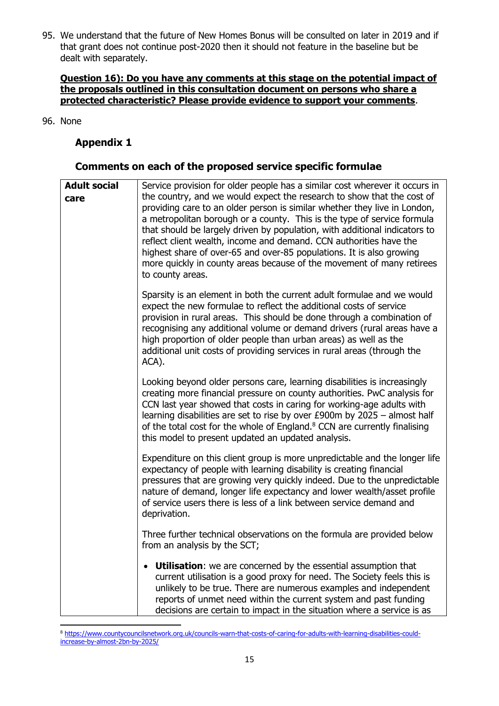95. We understand that the future of New Homes Bonus will be consulted on later in 2019 and if that grant does not continue post-2020 then it should not feature in the baseline but be dealt with separately.

#### **Question 16): Do you have any comments at this stage on the potential impact of the proposals outlined in this consultation document on persons who share a protected characteristic? Please provide evidence to support your comments**.

96. None

## **Appendix 1**

#### **Comments on each of the proposed service specific formulae**

| <b>Adult social</b><br>care | Service provision for older people has a similar cost wherever it occurs in<br>the country, and we would expect the research to show that the cost of<br>providing care to an older person is similar whether they live in London,<br>a metropolitan borough or a county. This is the type of service formula<br>that should be largely driven by population, with additional indicators to<br>reflect client wealth, income and demand. CCN authorities have the<br>highest share of over-65 and over-85 populations. It is also growing<br>more quickly in county areas because of the movement of many retirees<br>to county areas. |
|-----------------------------|----------------------------------------------------------------------------------------------------------------------------------------------------------------------------------------------------------------------------------------------------------------------------------------------------------------------------------------------------------------------------------------------------------------------------------------------------------------------------------------------------------------------------------------------------------------------------------------------------------------------------------------|
|                             | Sparsity is an element in both the current adult formulae and we would<br>expect the new formulae to reflect the additional costs of service<br>provision in rural areas. This should be done through a combination of<br>recognising any additional volume or demand drivers (rural areas have a<br>high proportion of older people than urban areas) as well as the<br>additional unit costs of providing services in rural areas (through the<br>ACA).                                                                                                                                                                              |
|                             | Looking beyond older persons care, learning disabilities is increasingly<br>creating more financial pressure on county authorities. PwC analysis for<br>CCN last year showed that costs in caring for working-age adults with<br>learning disabilities are set to rise by over £900m by 2025 - almost half<br>of the total cost for the whole of England. <sup>8</sup> CCN are currently finalising<br>this model to present updated an updated analysis.                                                                                                                                                                              |
|                             | Expenditure on this client group is more unpredictable and the longer life<br>expectancy of people with learning disability is creating financial<br>pressures that are growing very quickly indeed. Due to the unpredictable<br>nature of demand, longer life expectancy and lower wealth/asset profile<br>of service users there is less of a link between service demand and<br>deprivation.                                                                                                                                                                                                                                        |
|                             | Three further technical observations on the formula are provided below<br>from an analysis by the SCT;                                                                                                                                                                                                                                                                                                                                                                                                                                                                                                                                 |
|                             | • Utilisation: we are concerned by the essential assumption that<br>current utilisation is a good proxy for need. The Society feels this is<br>unlikely to be true. There are numerous examples and independent<br>reports of unmet need within the current system and past funding<br>decisions are certain to impact in the situation where a service is as                                                                                                                                                                                                                                                                          |

<sup>1</sup> <sup>8</sup> [https://www.countycouncilsnetwork.org.uk/councils-warn-that-costs-of-caring-for-adults-with-learning-disabilities-could](https://www.countycouncilsnetwork.org.uk/councils-warn-that-costs-of-caring-for-adults-with-learning-disabilities-could-increase-by-almost-2bn-by-2025/)[increase-by-almost-2bn-by-2025/](https://www.countycouncilsnetwork.org.uk/councils-warn-that-costs-of-caring-for-adults-with-learning-disabilities-could-increase-by-almost-2bn-by-2025/)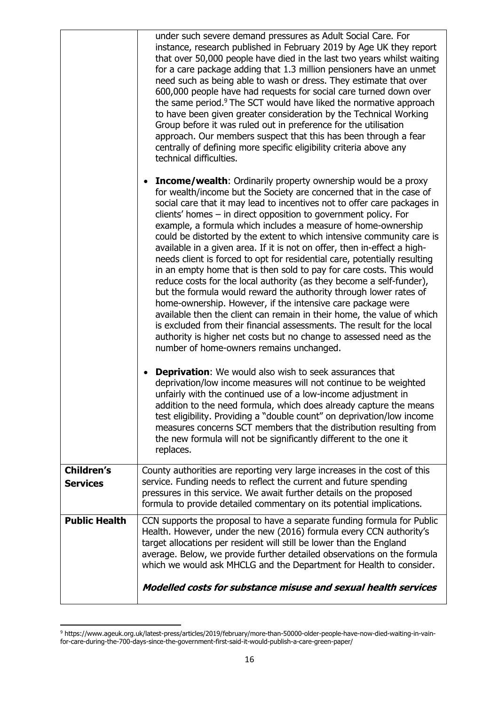|                                      | under such severe demand pressures as Adult Social Care. For<br>instance, research published in February 2019 by Age UK they report<br>that over 50,000 people have died in the last two years whilst waiting<br>for a care package adding that 1.3 million pensioners have an unmet<br>need such as being able to wash or dress. They estimate that over<br>600,000 people have had requests for social care turned down over<br>the same period. <sup>9</sup> The SCT would have liked the normative approach<br>to have been given greater consideration by the Technical Working<br>Group before it was ruled out in preference for the utilisation<br>approach. Our members suspect that this has been through a fear<br>centrally of defining more specific eligibility criteria above any<br>technical difficulties.                                                                                                                                                                                                                                                                                                                                           |
|--------------------------------------|-----------------------------------------------------------------------------------------------------------------------------------------------------------------------------------------------------------------------------------------------------------------------------------------------------------------------------------------------------------------------------------------------------------------------------------------------------------------------------------------------------------------------------------------------------------------------------------------------------------------------------------------------------------------------------------------------------------------------------------------------------------------------------------------------------------------------------------------------------------------------------------------------------------------------------------------------------------------------------------------------------------------------------------------------------------------------------------------------------------------------------------------------------------------------|
|                                      | <b>Income/wealth:</b> Ordinarily property ownership would be a proxy<br>$\bullet$<br>for wealth/income but the Society are concerned that in the case of<br>social care that it may lead to incentives not to offer care packages in<br>clients' homes - in direct opposition to government policy. For<br>example, a formula which includes a measure of home-ownership<br>could be distorted by the extent to which intensive community care is<br>available in a given area. If it is not on offer, then in-effect a high-<br>needs client is forced to opt for residential care, potentially resulting<br>in an empty home that is then sold to pay for care costs. This would<br>reduce costs for the local authority (as they become a self-funder),<br>but the formula would reward the authority through lower rates of<br>home-ownership. However, if the intensive care package were<br>available then the client can remain in their home, the value of which<br>is excluded from their financial assessments. The result for the local<br>authority is higher net costs but no change to assessed need as the<br>number of home-owners remains unchanged. |
|                                      | <b>Deprivation:</b> We would also wish to seek assurances that<br>deprivation/low income measures will not continue to be weighted<br>unfairly with the continued use of a low-income adjustment in<br>addition to the need formula, which does already capture the means<br>test eligibility. Providing a "double count" on deprivation/low income<br>measures concerns SCT members that the distribution resulting from<br>the new formula will not be significantly different to the one it<br>replaces.                                                                                                                                                                                                                                                                                                                                                                                                                                                                                                                                                                                                                                                           |
| <b>Children's</b><br><b>Services</b> | County authorities are reporting very large increases in the cost of this<br>service. Funding needs to reflect the current and future spending<br>pressures in this service. We await further details on the proposed<br>formula to provide detailed commentary on its potential implications.                                                                                                                                                                                                                                                                                                                                                                                                                                                                                                                                                                                                                                                                                                                                                                                                                                                                        |
| <b>Public Health</b>                 | CCN supports the proposal to have a separate funding formula for Public<br>Health. However, under the new (2016) formula every CCN authority's<br>target allocations per resident will still be lower than the England<br>average. Below, we provide further detailed observations on the formula<br>which we would ask MHCLG and the Department for Health to consider.                                                                                                                                                                                                                                                                                                                                                                                                                                                                                                                                                                                                                                                                                                                                                                                              |
|                                      | Modelled costs for substance misuse and sexual health services                                                                                                                                                                                                                                                                                                                                                                                                                                                                                                                                                                                                                                                                                                                                                                                                                                                                                                                                                                                                                                                                                                        |

<sup>1</sup> <sup>9</sup> https://www.ageuk.org.uk/latest-press/articles/2019/february/more-than-50000-older-people-have-now-died-waiting-in-vainfor-care-during-the-700-days-since-the-government-first-said-it-would-publish-a-care-green-paper/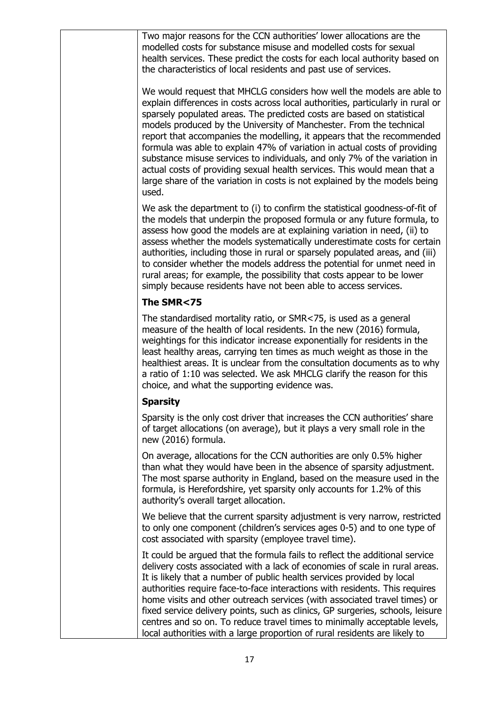| Two major reasons for the CCN authorities' lower allocations are the<br>modelled costs for substance misuse and modelled costs for sexual<br>health services. These predict the costs for each local authority based on<br>the characteristics of local residents and past use of services.                                                                                                                                                                                                                                                                                                                                                                                                                      |
|------------------------------------------------------------------------------------------------------------------------------------------------------------------------------------------------------------------------------------------------------------------------------------------------------------------------------------------------------------------------------------------------------------------------------------------------------------------------------------------------------------------------------------------------------------------------------------------------------------------------------------------------------------------------------------------------------------------|
| We would request that MHCLG considers how well the models are able to<br>explain differences in costs across local authorities, particularly in rural or<br>sparsely populated areas. The predicted costs are based on statistical<br>models produced by the University of Manchester. From the technical<br>report that accompanies the modelling, it appears that the recommended<br>formula was able to explain 47% of variation in actual costs of providing<br>substance misuse services to individuals, and only 7% of the variation in<br>actual costs of providing sexual health services. This would mean that a<br>large share of the variation in costs is not explained by the models being<br>used. |
| We ask the department to (i) to confirm the statistical goodness-of-fit of<br>the models that underpin the proposed formula or any future formula, to<br>assess how good the models are at explaining variation in need, (ii) to<br>assess whether the models systematically underestimate costs for certain<br>authorities, including those in rural or sparsely populated areas, and (iii)<br>to consider whether the models address the potential for unmet need in<br>rural areas; for example, the possibility that costs appear to be lower<br>simply because residents have not been able to access services.                                                                                             |
| The SMR<75                                                                                                                                                                                                                                                                                                                                                                                                                                                                                                                                                                                                                                                                                                       |
| The standardised mortality ratio, or SMR<75, is used as a general<br>measure of the health of local residents. In the new (2016) formula,<br>weightings for this indicator increase exponentially for residents in the<br>least healthy areas, carrying ten times as much weight as those in the<br>healthiest areas. It is unclear from the consultation documents as to why<br>a ratio of 1:10 was selected. We ask MHCLG clarify the reason for this<br>choice, and what the supporting evidence was.                                                                                                                                                                                                         |
| <b>Sparsity</b>                                                                                                                                                                                                                                                                                                                                                                                                                                                                                                                                                                                                                                                                                                  |
| Sparsity is the only cost driver that increases the CCN authorities' share<br>of target allocations (on average), but it plays a very small role in the<br>new (2016) formula.                                                                                                                                                                                                                                                                                                                                                                                                                                                                                                                                   |
| On average, allocations for the CCN authorities are only 0.5% higher<br>than what they would have been in the absence of sparsity adjustment.<br>The most sparse authority in England, based on the measure used in the<br>formula, is Herefordshire, yet sparsity only accounts for 1.2% of this<br>authority's overall target allocation.                                                                                                                                                                                                                                                                                                                                                                      |
| We believe that the current sparsity adjustment is very narrow, restricted<br>to only one component (children's services ages 0-5) and to one type of<br>cost associated with sparsity (employee travel time).                                                                                                                                                                                                                                                                                                                                                                                                                                                                                                   |
| It could be argued that the formula fails to reflect the additional service<br>delivery costs associated with a lack of economies of scale in rural areas.<br>It is likely that a number of public health services provided by local<br>authorities require face-to-face interactions with residents. This requires<br>home visits and other outreach services (with associated travel times) or<br>fixed service delivery points, such as clinics, GP surgeries, schools, leisure<br>centres and so on. To reduce travel times to minimally acceptable levels,<br>local authorities with a large proportion of rural residents are likely to                                                                    |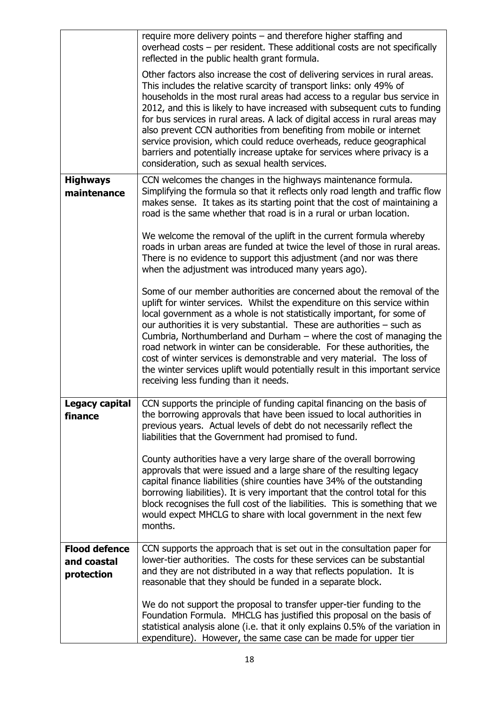|                                                   | require more delivery points – and therefore higher staffing and<br>overhead costs - per resident. These additional costs are not specifically<br>reflected in the public health grant formula.                                                                                                                                                                                                                                                                                                                                                                                                                                                                             |
|---------------------------------------------------|-----------------------------------------------------------------------------------------------------------------------------------------------------------------------------------------------------------------------------------------------------------------------------------------------------------------------------------------------------------------------------------------------------------------------------------------------------------------------------------------------------------------------------------------------------------------------------------------------------------------------------------------------------------------------------|
|                                                   | Other factors also increase the cost of delivering services in rural areas.<br>This includes the relative scarcity of transport links: only 49% of<br>households in the most rural areas had access to a regular bus service in<br>2012, and this is likely to have increased with subsequent cuts to funding<br>for bus services in rural areas. A lack of digital access in rural areas may<br>also prevent CCN authorities from benefiting from mobile or internet<br>service provision, which could reduce overheads, reduce geographical<br>barriers and potentially increase uptake for services where privacy is a<br>consideration, such as sexual health services. |
| <b>Highways</b><br>maintenance                    | CCN welcomes the changes in the highways maintenance formula.<br>Simplifying the formula so that it reflects only road length and traffic flow<br>makes sense. It takes as its starting point that the cost of maintaining a<br>road is the same whether that road is in a rural or urban location.                                                                                                                                                                                                                                                                                                                                                                         |
|                                                   | We welcome the removal of the uplift in the current formula whereby<br>roads in urban areas are funded at twice the level of those in rural areas.<br>There is no evidence to support this adjustment (and nor was there<br>when the adjustment was introduced many years ago).                                                                                                                                                                                                                                                                                                                                                                                             |
|                                                   | Some of our member authorities are concerned about the removal of the<br>uplift for winter services. Whilst the expenditure on this service within<br>local government as a whole is not statistically important, for some of<br>our authorities it is very substantial. These are authorities - such as<br>Cumbria, Northumberland and Durham - where the cost of managing the<br>road network in winter can be considerable. For these authorities, the<br>cost of winter services is demonstrable and very material. The loss of<br>the winter services uplift would potentially result in this important service<br>receiving less funding than it needs.               |
| <b>Legacy capital</b><br>finance                  | CCN supports the principle of funding capital financing on the basis of<br>the borrowing approvals that have been issued to local authorities in<br>previous years. Actual levels of debt do not necessarily reflect the<br>liabilities that the Government had promised to fund.                                                                                                                                                                                                                                                                                                                                                                                           |
|                                                   | County authorities have a very large share of the overall borrowing<br>approvals that were issued and a large share of the resulting legacy<br>capital finance liabilities (shire counties have 34% of the outstanding<br>borrowing liabilities). It is very important that the control total for this<br>block recognises the full cost of the liabilities. This is something that we<br>would expect MHCLG to share with local government in the next few<br>months.                                                                                                                                                                                                      |
| <b>Flood defence</b><br>and coastal<br>protection | CCN supports the approach that is set out in the consultation paper for<br>lower-tier authorities. The costs for these services can be substantial<br>and they are not distributed in a way that reflects population. It is<br>reasonable that they should be funded in a separate block.                                                                                                                                                                                                                                                                                                                                                                                   |
|                                                   | We do not support the proposal to transfer upper-tier funding to the<br>Foundation Formula. MHCLG has justified this proposal on the basis of<br>statistical analysis alone (i.e. that it only explains 0.5% of the variation in<br>expenditure). However, the same case can be made for upper tier                                                                                                                                                                                                                                                                                                                                                                         |